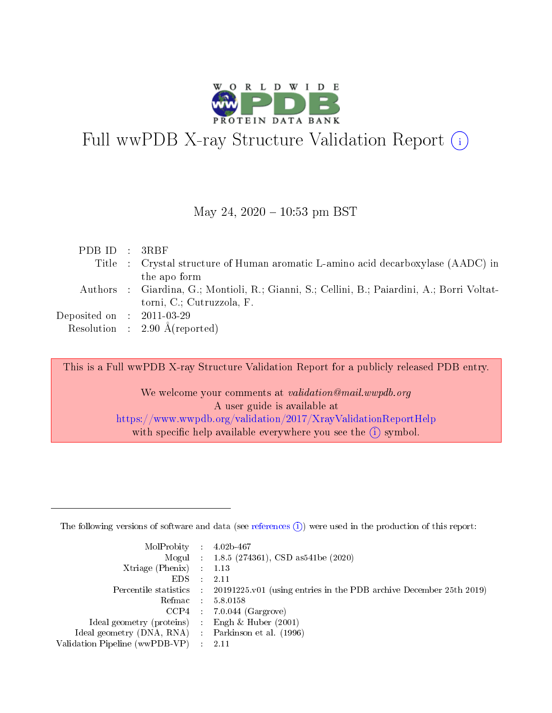

# Full wwPDB X-ray Structure Validation Report  $(i)$

#### May 24,  $2020 - 10:53$  pm BST

| PDBID : 3RBF                         |                                                                                             |
|--------------------------------------|---------------------------------------------------------------------------------------------|
|                                      | Title : Crystal structure of Human aromatic L-amino acid decarboxylase (AADC) in            |
|                                      | the apo form                                                                                |
|                                      | Authors : Giardina, G.; Montioli, R.; Gianni, S.; Cellini, B.; Paiardini, A.; Borri Voltat- |
|                                      | torni, C.; Cutruzzola, F.                                                                   |
| Deposited on $\therefore$ 2011-03-29 |                                                                                             |
|                                      | Resolution : $2.90 \text{ Å}$ (reported)                                                    |

This is a Full wwPDB X-ray Structure Validation Report for a publicly released PDB entry.

We welcome your comments at validation@mail.wwpdb.org A user guide is available at <https://www.wwpdb.org/validation/2017/XrayValidationReportHelp> with specific help available everywhere you see the  $(i)$  symbol.

The following versions of software and data (see [references](https://www.wwpdb.org/validation/2017/XrayValidationReportHelp#references)  $(1)$ ) were used in the production of this report:

| $MolProbability$ : 4.02b-467                       |               |                                                                                            |
|----------------------------------------------------|---------------|--------------------------------------------------------------------------------------------|
|                                                    |               | Mogul : $1.8.5$ (274361), CSD as 541be (2020)                                              |
| Xtriage (Phenix) $: 1.13$                          |               |                                                                                            |
| EDS.                                               | $\mathcal{L}$ | -2.11                                                                                      |
|                                                    |               | Percentile statistics : 20191225.v01 (using entries in the PDB archive December 25th 2019) |
|                                                    |               | Refmac : 5.8.0158                                                                          |
|                                                    |               | $CCP4$ 7.0.044 (Gargrove)                                                                  |
| Ideal geometry (proteins) : Engh $\&$ Huber (2001) |               |                                                                                            |
| Ideal geometry (DNA, RNA) Parkinson et al. (1996)  |               |                                                                                            |
| Validation Pipeline (wwPDB-VP) : 2.11              |               |                                                                                            |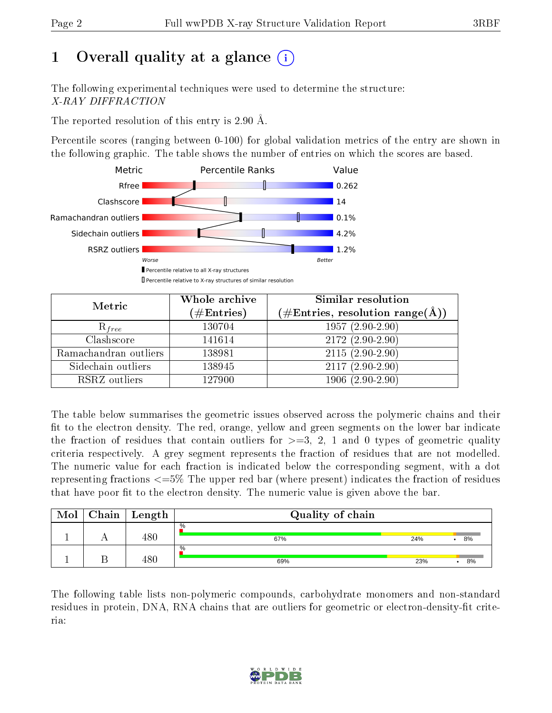# 1 [O](https://www.wwpdb.org/validation/2017/XrayValidationReportHelp#overall_quality)verall quality at a glance  $(i)$

The following experimental techniques were used to determine the structure: X-RAY DIFFRACTION

The reported resolution of this entry is 2.90 Å.

Percentile scores (ranging between 0-100) for global validation metrics of the entry are shown in the following graphic. The table shows the number of entries on which the scores are based.



| Metric                | Whole archive<br>$(\#\text{Entries})$ | <b>Similar resolution</b><br>$(\#\text{Entries},\,\text{resolution}\,\,\text{range}(\textup{\AA}))$ |
|-----------------------|---------------------------------------|-----------------------------------------------------------------------------------------------------|
| $R_{free}$            | 130704                                | $1957(2.90-2.90)$                                                                                   |
| Clashscore            | 141614                                | $2172(2.90-2.90)$                                                                                   |
| Ramachandran outliers | 138981                                | $2115(2.90-2.90)$                                                                                   |
| Sidechain outliers    | 138945                                | $2117(2.90-2.90)$                                                                                   |
| RSRZ outliers         | 127900                                | $1906(2.90-2.90)$                                                                                   |

The table below summarises the geometric issues observed across the polymeric chains and their fit to the electron density. The red, orange, yellow and green segments on the lower bar indicate the fraction of residues that contain outliers for  $>=3, 2, 1$  and 0 types of geometric quality criteria respectively. A grey segment represents the fraction of residues that are not modelled. The numeric value for each fraction is indicated below the corresponding segment, with a dot representing fractions <=5% The upper red bar (where present) indicates the fraction of residues that have poor fit to the electron density. The numeric value is given above the bar.

| Mol | Chain | Length | Quality of chain |     |    |
|-----|-------|--------|------------------|-----|----|
|     |       | 480    | %<br>67%         | 24% | 8% |
|     |       | 18 C   | $\%$<br>69%      | 23% | 8% |

The following table lists non-polymeric compounds, carbohydrate monomers and non-standard residues in protein, DNA, RNA chains that are outliers for geometric or electron-density-fit criteria:

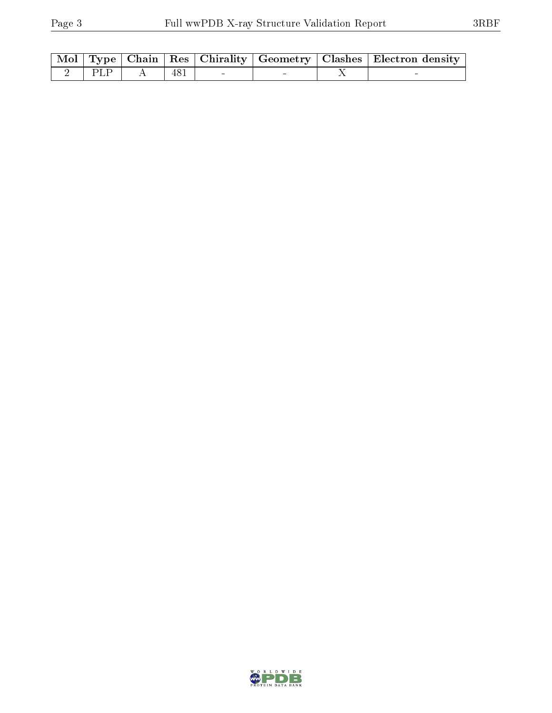|         |  |  | Mol   Type   Chain   Res   Chirality   Geometry   Clashes   Electron density |
|---------|--|--|------------------------------------------------------------------------------|
| 2   PLP |  |  |                                                                              |

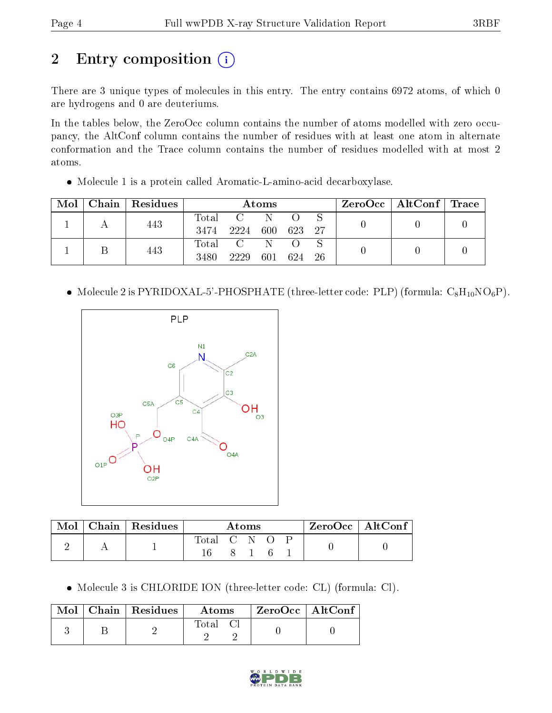# 2 Entry composition (i)

There are 3 unique types of molecules in this entry. The entry contains 6972 atoms, of which 0 are hydrogens and 0 are deuteriums.

In the tables below, the ZeroOcc column contains the number of atoms modelled with zero occupancy, the AltConf column contains the number of residues with at least one atom in alternate conformation and the Trace column contains the number of residues modelled with at most 2 atoms.

Molecule 1 is a protein called Aromatic-L-amino-acid decarboxylase.

| Mol | Chain   Residues |               |      | Atoms    |     |      | $\text{ZeroOcc} \mid \text{AltConf} \mid \text{Trace}$ |  |
|-----|------------------|---------------|------|----------|-----|------|--------------------------------------------------------|--|
|     | 443              | Total<br>3474 | 2224 | 600      | 623 | - 27 |                                                        |  |
|     | 443              | Total<br>3480 | 2229 | N<br>601 | 624 | -26  |                                                        |  |

• Molecule 2 is PYRIDOXAL-5'-PHOSPHATE (three-letter code: PLP) (formula:  $C_8H_{10}NO_6P$ ).



| Mol | $\,$ Chain   Residues | Atoms       |  |  | ZeroOcc   AltConf |  |  |
|-----|-----------------------|-------------|--|--|-------------------|--|--|
|     |                       | Total C N O |  |  |                   |  |  |

Molecule 3 is CHLORIDE ION (three-letter code: CL) (formula: Cl).

|  | Mol   Chain   Residues | Atoms | $ZeroOcc \mid AltConf$ |  |
|--|------------------------|-------|------------------------|--|
|  |                        | Total |                        |  |

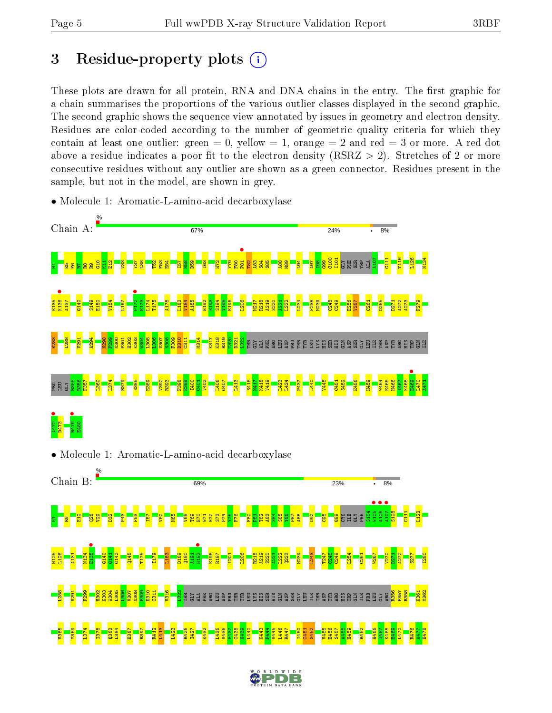## 3 Residue-property plots  $(i)$

These plots are drawn for all protein, RNA and DNA chains in the entry. The first graphic for a chain summarises the proportions of the various outlier classes displayed in the second graphic. The second graphic shows the sequence view annotated by issues in geometry and electron density. Residues are color-coded according to the number of geometric quality criteria for which they contain at least one outlier: green  $= 0$ , yellow  $= 1$ , orange  $= 2$  and red  $= 3$  or more. A red dot above a residue indicates a poor fit to the electron density (RSRZ  $> 2$ ). Stretches of 2 or more consecutive residues without any outlier are shown as a green connector. Residues present in the sample, but not in the model, are shown in grey.



• Molecule 1: Aromatic-L-amino-acid decarboxylase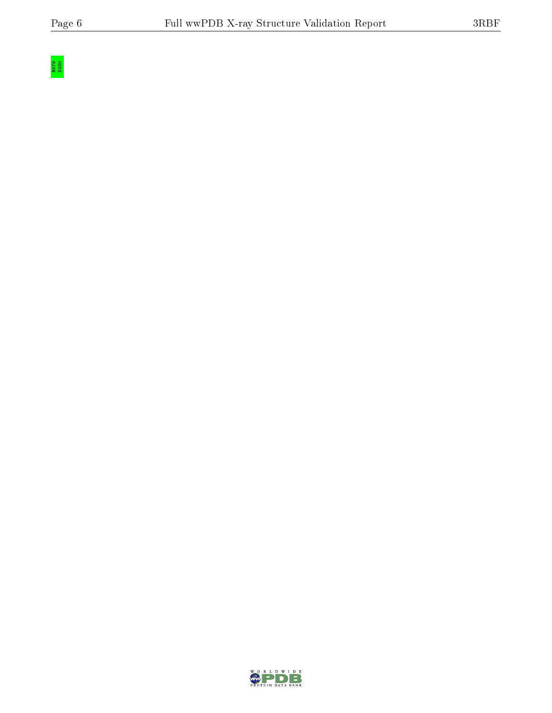

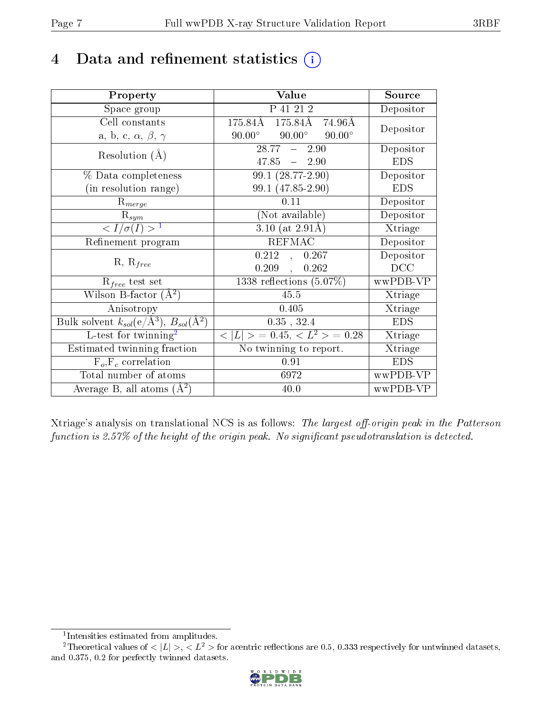## 4 Data and refinement statistics  $(i)$

| Property                                                                | Value                                              | Source     |
|-------------------------------------------------------------------------|----------------------------------------------------|------------|
| Space group                                                             | P 41 21 2                                          | Depositor  |
| Cell constants                                                          | $175.84\text{\AA}$<br>$175.84\text{\AA}$<br>74.96Å | Depositor  |
| a, b, c, $\alpha$ , $\beta$ , $\gamma$                                  | $90.00^\circ$<br>$90.00^\circ$<br>$90.00^\circ$    |            |
| Resolution $(A)$                                                        | $28.77 - 2.90$                                     | Depositor  |
|                                                                         | $47.85 - 2.90$                                     | <b>EDS</b> |
| % Data completeness                                                     | $99.1(28.77-2.90)$                                 | Depositor  |
| (in resolution range)                                                   | 99.1 (47.85-2.90)                                  | <b>EDS</b> |
| $R_{merge}$                                                             | 0.11                                               | Depositor  |
| $\mathrm{R}_{sym}$                                                      | (Not available)                                    | Depositor  |
| $\langle I/\sigma(I) \rangle^{-1}$                                      | $3.10$ (at 2.91Å)                                  | Xtriage    |
| Refinement program                                                      | <b>REFMAC</b>                                      | Depositor  |
|                                                                         | $0.212$ ,<br>0.267                                 | Depositor  |
| $R, R_{free}$                                                           | 0.209,<br>0.262                                    | DCC        |
| $\mathcal{R}_{free}$ test set                                           | $1338$ reflections $(5.07\%)$                      | wwPDB-VP   |
| Wilson B-factor $(A^2)$                                                 | 45.5                                               | Xtriage    |
| Anisotropy                                                              | 0.405                                              | Xtriage    |
| Bulk solvent $k_{sol}(\mathrm{e}/\mathrm{A}^3),\,B_{sol}(\mathrm{A}^2)$ | $0.35$ , $32.4$                                    | <b>EDS</b> |
| L-test for twinning <sup>2</sup>                                        | $< L >$ = 0.45, $< L^2 >$ = 0.28                   | Xtriage    |
| Estimated twinning fraction                                             | No twinning to report.                             | Xtriage    |
| $F_o, F_c$ correlation                                                  | 0.91                                               | <b>EDS</b> |
| Total number of atoms                                                   | 6972                                               | wwPDB-VP   |
| Average B, all atoms $(A^2)$                                            | 40.0                                               | wwPDB-VP   |

Xtriage's analysis on translational NCS is as follows: The largest off-origin peak in the Patterson function is 2.57% of the height of the origin peak. No significant pseudotranslation is detected.

<sup>&</sup>lt;sup>2</sup>Theoretical values of  $\langle |L| \rangle$ ,  $\langle L^2 \rangle$  for acentric reflections are 0.5, 0.333 respectively for untwinned datasets, and 0.375, 0.2 for perfectly twinned datasets.



<span id="page-6-1"></span><span id="page-6-0"></span><sup>1</sup> Intensities estimated from amplitudes.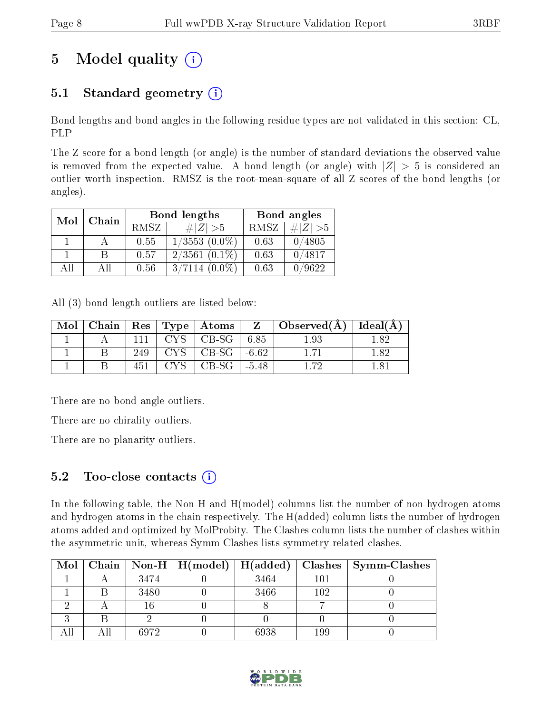# 5 Model quality  $(i)$

## 5.1 Standard geometry  $(i)$

Bond lengths and bond angles in the following residue types are not validated in this section: CL, PLP

The Z score for a bond length (or angle) is the number of standard deviations the observed value is removed from the expected value. A bond length (or angle) with  $|Z| > 5$  is considered an outlier worth inspection. RMSZ is the root-mean-square of all Z scores of the bond lengths (or angles).

| Mol | Chain |      | <b>Bond lengths</b> | Bond angles |           |  |
|-----|-------|------|---------------------|-------------|-----------|--|
|     |       | RMSZ | # Z  > 5            | RMSZ        | # $ Z >5$ |  |
|     |       | 0.55 | $1/3553$ $(0.0\%)$  | 0.63        | 0/4805    |  |
|     | В     | 0.57 | $2/3561(0.1\%)$     | 0.63        | 0/4817    |  |
| AII | Αll   | 0.56 | $3/7114(0.0\%)$     | 0.63        | 0/9622    |  |

All (3) bond length outliers are listed below:

| Mol | Chain |     | Res   Type   Atoms    | Z | $\perp$ Observed(A) $\perp$ | Ideal $(A)$ |
|-----|-------|-----|-----------------------|---|-----------------------------|-------------|
|     |       |     | $CYS$   CB-SG   6.85  |   | 1.93                        |             |
|     |       | 249 | $CYS$   CB-SG   -6.62 |   |                             | 189         |
|     |       |     | $CB-SG$   -5.48       |   | 179                         |             |

There are no bond angle outliers.

There are no chirality outliers.

There are no planarity outliers.

### 5.2 Too-close contacts  $(i)$

In the following table, the Non-H and H(model) columns list the number of non-hydrogen atoms and hydrogen atoms in the chain respectively. The H(added) column lists the number of hydrogen atoms added and optimized by MolProbity. The Clashes column lists the number of clashes within the asymmetric unit, whereas Symm-Clashes lists symmetry related clashes.

|  |      | Mol   Chain   Non-H   H(model) | H(added) | Clashes | <b>Symm-Clashes</b> |
|--|------|--------------------------------|----------|---------|---------------------|
|  | 3474 |                                | 3464     | 101     |                     |
|  | 3480 |                                | 3466     | 102     |                     |
|  |      |                                |          |         |                     |
|  |      |                                |          |         |                     |
|  | 6972 |                                | 6938     | 199     |                     |

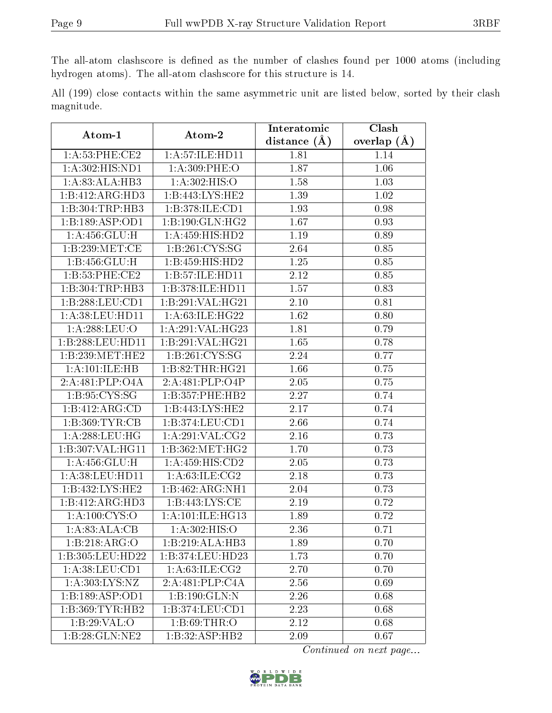The all-atom clashscore is defined as the number of clashes found per 1000 atoms (including hydrogen atoms). The all-atom clashscore for this structure is 14.

All (199) close contacts within the same asymmetric unit are listed below, sorted by their clash magnitude.

| Atom-1             | Atom-2             | Interatomic       | Clash           |  |
|--------------------|--------------------|-------------------|-----------------|--|
|                    |                    | distance $(A)$    | overlap $(\AA)$ |  |
| 1: A:53: PHE:CE2   | 1:A:57:ILE:HD11    | 1.81              | 1.14            |  |
| 1: A:302: HIS: ND1 | 1: A:309: PHE:O    | 1.87              | 1.06            |  |
| 1:A:83:ALA:HB3     | 1:A:302:HIS:O      | 1.58              | 1.03            |  |
| 1:B:412:ARG:HD3    | 1:B:443:LYS:HE2    | 1.39              | 1.02            |  |
| 1:B:304:TRP:HB3    | 1:B:378:ILE:CD1    | 1.93              | 0.98            |  |
| 1:B:189:ASP:OD1    | 1:B:190:GLN:HG2    | 1.67              | 0.93            |  |
| 1: A: 456: GLU: H  | 1:A:459:HIS:HD2    | 1.19              | 0.89            |  |
| 1:B:239:MET:CE     | 1: B:261: CYS:SG   | 2.64              | 0.85            |  |
| 1: B: 456: GLU: H  | 1:B:459:HIS:HD2    | 1.25              | 0.85            |  |
| 1: B:53: PHE:CE2   | 1:B:57:ILE:HD11    | 2.12              | 0.85            |  |
| 1:B:304:TRP:HB3    | 1:B:378:ILE:HD11   | 1.57              | 0.83            |  |
| 1:B:288:LEU:CD1    | 1:B:291:VAL:HG21   | 2.10              | 0.81            |  |
| 1: A:38: LEU: HD11 | 1: A:63: ILE: HG22 | 1.62              | 0.80            |  |
| 1:A:288:LEU:O      | 1:A:291:VAL:HG23   | 1.81              | 0.79            |  |
| 1:B:288:LEU:HD11   | 1:B:291:VAL:HG21   | 1.65              | 0.78            |  |
| 1:B:239:MET:HE2    | 1: B:261: CYS:SG   | 2.24              | 0.77            |  |
| 1:A:101:ILE:HB     | 1:B:82:THR:HG21    | 1.66              | 0.75            |  |
| 2:A:481:PLP:O4A    | 2:A:481:PLP:O4P    | 2.05              | 0.75            |  |
| 1:B:95:CYS:SG      | 1:B:357:PHE:HB2    | 2.27              | 0.74            |  |
| 1:B:412:ARG:CD     | 1:B:443:LYS:HE2    | 2.17              | 0.74            |  |
| 1:B:369:TYR:CB     | 1:B:374:LEU:CD1    | 2.66              | 0.74            |  |
| 1: A:288:LEU:HG    | 1: A:291:VAL: CG2  | 2.16              | 0.73            |  |
| 1:B:307:VAL:HG11   | 1: B:362:MET:HG2   | 1.70              | 0.73            |  |
| 1: A: 456: GLU: H  | 1:A:459:HIS:CD2    | 2.05              | 0.73            |  |
| 1:A:38:LEU:HD11    | 1: A:63: ILE: CG2  | 2.18              | 0.73            |  |
| 1:B:432:LYS:HE2    | 1:B:462:ARG:NH1    | 2.04              | 0.73            |  |
| 1:B:412:ARG:HD3    | 1: B:443: LYS: CE  | 2.19              | 0.72            |  |
| 1:A:100:CYS:O      | 1:A:101:ILE:HG13   | 1.89              | 0.72            |  |
| 1: A:83:ALA:CB     | 1: A:302: HIS:O    | $\overline{2.36}$ | 0.71            |  |
| 1:B:218:ARG:O      | 1:B:219:ALA:HB3    | 1.89              | 0.70            |  |
| 1:B:305:LEU:HD22   | 1:B:374:LEU:HD23   | 1.73              | 0.70            |  |
| 1:A:38:LEU:CD1     | 1: A:63:ILE: CG2   | 2.70              | 0.70            |  |
| 1:A:303:LYS:NZ     | 2:A:481:PLP:CAA    | 2.56              | 0.69            |  |
| 1:B:189:ASP:OD1    | 1:B:190:GLN:N      | 2.26              | 0.68            |  |
| 1:B:369:TYR:HB2    | 1:B:374:LEU:CD1    | 2.23              | 0.68            |  |
| 1:B:29:VAL:O       | 1: B:69:THR:O      | 2.12              | 0.68            |  |
| 1:B:28:GLN:NE2     | 1:B:32:ASP:HB2     | 2.09              | 0.67            |  |

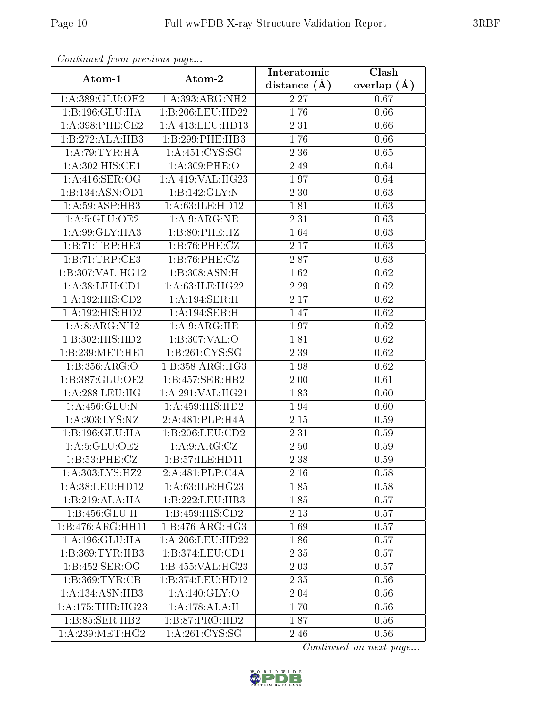| Continuea from previous page |                               | Interatomic    | Clash         |  |
|------------------------------|-------------------------------|----------------|---------------|--|
| Atom-1                       | Atom-2                        | distance $(A)$ | overlap $(A)$ |  |
| 1:A:389:GLU:OE2              | 1:A:393:ARG:NH2               | 2.27           | 0.67          |  |
| 1:B:196:GLU:HA               | $1:B:206:L\overline{EU:HD22}$ | 1.76           | 0.66          |  |
| $1: A:398:$ PHE:CE2          | 1:A:413:LEU:HD13              | 2.31           | 0.66          |  |
| 1:B:272:ALA:HB3              | 1:B:299:PHE:HB3               | 1.76           | 0.66          |  |
| 1:A:79:TYR:HA                | 1: A:451: CYS:SG              | 2.36           | 0.65          |  |
| 1:A:302:HIS:CE1              | 1: A:309: PHE:O               | 2.49           | 0.64          |  |
| 1: A:416: SER:OG             | 1:A:419:VAL:HG23              | 1.97           | 0.64          |  |
| 1:B:134:ASN:OD1              | 1:B:142:GLY:N                 | 2.30           | 0.63          |  |
| 1: A:59: ASP:HB3             | 1: A:63: ILE: HD12            | 1.81           | 0.63          |  |
| 1: A:5: GLU:OE2              | 1: A:9: ARG:NE                | 2.31           | 0.63          |  |
| 1: A:99: GLY:HA3             | 1:B:80:PHE:HZ                 | 1.64           | 0.63          |  |
| 1:B:71:TRP:HE3               | 1:B:76:PHE:CZ                 | 2.17           | 0.63          |  |
| 1:B:71:TRP:CE3               | 1:B:76:PHE:CZ                 | 2.87           | 0.63          |  |
| 1:B:307:VAL:HG12             | 1:B:308:ASN:H                 | 1.62           | 0.62          |  |
| 1:A:38:LEU:CD1               | 1:A:63:ILE:HG22               | 2.29           | 0.62          |  |
| 1:A:192:HIS:CD2              | 1:A:194:SER:H                 | 2.17           | 0.62          |  |
| 1:A:192:HIS:HD2              | 1:A:194:SER:H                 | 1.47           | $0.62\,$      |  |
| 1:A:8:ARG:NH2                | 1: A:9: ARG:HE                | 1.97           | $0.62\,$      |  |
| 1:B:302:HIS:HD2              | 1:B:307:VAL:O                 | 1.81           | 0.62          |  |
| 1:B:239:MET:HE1              | 1:B:261:CYS:SG                | 2.39           | 0.62          |  |
| 1:B:356:ARG:O                | 1:B:358:ARG:HG3               | 1.98           | 0.62          |  |
| 1:B:387:GLU:OE2              | 1:B:457:SER:HB2               | 2.00           | 0.61          |  |
| 1: A:288:LEU:HG              | 1:A:291:VAL:HG21              | 1.83           | 0.60          |  |
| 1: A: 456: GLU: N            | 1:A:459:HIS:HD2               | 1.94           | 0.60          |  |
| 1:A:303:LYS:NZ               | 2:A:481:PLP:H4A               | 2.15           | 0.59          |  |
| 1:B:196:GLU:HA               | $1: B:206:$ LEU: $CD2$        | 2.31           | 0.59          |  |
| 1: A:5: GLU:OE2              | 1: A:9: ARG: CZ               | 2.50           | 0.59          |  |
| 1: B: 53: PHE: CZ            | $1:B:57:ILE:HD\overline{11}$  | 2.38           | 0.59          |  |
| 1:A:303:LYS:HZ2              | 2:A:481:PLP:CAA               | 2.16           | 0.58          |  |
| 1: A:38: LEU: HD12           | 1: A:63:ILE: HG23             | 1.85           | 0.58          |  |
| 1:B:219:ALA:HA               | 1:B:222:LEU:HB3               | 1.85           | 0.57          |  |
| 1:B:456:GLU:H                | 1:B:459:HIS:CD2               | 2.13           | 0.57          |  |
| 1:B:476:ARG:HH11             | 1:B:476:ARG:HG3               | 1.69           | 0.57          |  |
| 1:A:196:GLU:HA               | 1:A:206:LEU:HD22              | 1.86           | 0.57          |  |
| 1: B: 369: TYR: HB3          | 1:B:374:LEU:CD1               | 2.35           | 0.57          |  |
| 1:B:452:SER:OG               | 1:B:455:VAL:H G23             | 2.03           | 0.57          |  |
| 1:B:369:TYR:CB               | 1:B:374:LEU:HD12              | 2.35           | 0.56          |  |
| 1: A: 134: ASN: HB3          | 1:A:140:GLY:O                 | 2.04           | 0.56          |  |
| 1:A:175:THR:HG23             | 1:A:178:ALA:H                 | 1.70           | 0.56          |  |
| 1:B:85:SER:HB2               | 1:B:87:PRO:HD2                | 1.87           | 0.56          |  |
| 1:A:239:MET:HG2              | 1: A:261:CYS:SG               | 2.46           | 0.56          |  |

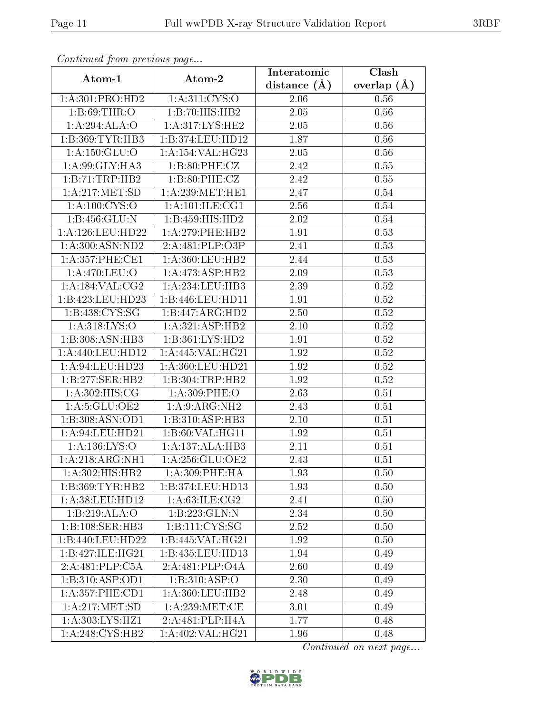| Commaca jibin previous page |                     | Interatomic    | Clash         |  |
|-----------------------------|---------------------|----------------|---------------|--|
| Atom-1                      | Atom-2              | distance $(A)$ | overlap $(A)$ |  |
| 1:A:301:PRO:HD2             | 1:A:311:CYS:O       | 2.06           | 0.56          |  |
| 1:B:69:THR:O                | 1:B:70:HIS:HB2      | 2.05           | 0.56          |  |
| 1:A:294:ALA:O               | 1: A:317: LYS: HE2  | 2.05           | 0.56          |  |
| 1:B:369:TYR:HB3             | 1:B:374:LEU:HD12    | 1.87           | 0.56          |  |
| 1:A:150:GLU:O               | 1:A:154:VAL:HG23    | 2.05           | 0.56          |  |
| 1: A:99: GLY: HA3           | 1: B:80: PHE: CZ    | 2.42           | 0.55          |  |
| 1:B:71:TRP:HB2              | 1: B:80: PHE: CZ    | 2.42           | 0.55          |  |
| 1: A:217: MET:SD            | 1: A:239: MET:HE1   | 2.47           | 0.54          |  |
| 1: A: 100: CYS:O            | 1: A: 101: ILE: CG1 | 2.56           | 0.54          |  |
| 1:B:456:GLU:N               | 1:B:459:HIS:HD2     | 2.02           | 0.54          |  |
| 1: A:126:LEU:HD22           | 1:A:279:PHE:HB2     | 1.91           | 0.53          |  |
| 1: A:300:ASN:ND2            | 2:A:481:PLP:O3P     | 2.41           | 0.53          |  |
| 1: A:357: PHE:CE1           | 1:A:360:LEU:HB2     | 2.44           | 0.53          |  |
| 1: A:470: LEU:O             | 1:A:473:ASP:HB2     | 2.09           | 0.53          |  |
| 1:A:184:VAL:CG2             | 1:A:234:LEU:HB3     | 2.39           | 0.52          |  |
| 1:B:423:LEU:HD23            | 1:B:446:LEU:HD11    | 1.91           | 0.52          |  |
| 1:B:438:CYS:SG              | 1:B:447:ARG:HD2     | 2.50           | $0.52\,$      |  |
| 1:A:318:LYS:O               | 1:A:321:ASP:HB2     | 2.10           | 0.52          |  |
| 1:B:308:ASN:HB3             | 1:B:361:LYS:HD2     | 1.91           | 0.52          |  |
| 1: A:440: LEU: HD12         | 1:A:445:VAL:HG21    | 1.92           | 0.52          |  |
| 1: A:94:LEU:HD23            | 1:A:360:LEU:HD21    | 1.92           | 0.52          |  |
| 1:B:277:SER:HB2             | 1:B:304:TRP:HB2     | 1.92           | 0.52          |  |
| 1: A:302: HIS: CG           | 1:A:309:PHE:O       | 2.63           | 0.51          |  |
| 1: A:5: GLU:OE2             | 1:A:9:ARG:NH2       | 2.43           | 0.51          |  |
| 1:B:308:ASN:OD1             | 1:B:310:ASP:HB3     | 2.10           | 0.51          |  |
| 1: A:94:LEU:HD21            | 1:B:60:VAL:HG11     | 1.92           | 0.51          |  |
| 1:A:136:LYS:O               | 1:A:137:ALA:HB3     | 2.11           | 0.51          |  |
| 1:A:218:ARG:NH1             | 1: A:256: GLU:OE2   | 2.43           | 0.51          |  |
| 1: A:302: HIS: HB2          | 1: A:309: PHE: HA   | 1.93           | 0.50          |  |
| 1:B:369:TYR:HB2             | 1:B:374:LEU:HD13    | 1.93           | 0.50          |  |
| 1: A:38: LEU: HD12          | 1: A:63: ILE: CG2   | 2.41           | 0.50          |  |
| 1:B:219:ALA:O               | 1:B:223:GLN:N       | 2.34           | 0.50          |  |
| 1:B:108:SER:HB3             | 1: B: 111: CYS: SG  | 2.52           | 0.50          |  |
| 1:B:440:LEU:HD22            | 1:B:445:VAL:HG21    | 1.92           | 0.50          |  |
| 1:B:427:ILE:HG21            | 1:B:435:LEU:HD13    | 1.94           | 0.49          |  |
| 2:A:481:PLP:C5A             | 2:A:481:PLP:O4A     | 2.60           | 0.49          |  |
| 1:B:310:ASP:OD1             | 1: B:310: ASP:O     | 2.30           | 0.49          |  |
| 1: A: 357: PHE: CD1         | 1:A:360:LEU:HB2     | 2.48           | 0.49          |  |
| 1: A:217: MET:SD            | 1: A:239:MET:CE     | 3.01           | 0.49          |  |
| 1:A:303:LYS:HZ1             | 2:A:481:PLP:H4A     | 1.77           | 0.48          |  |
| 1:A:248:CYS:HB2             | 1:A:402:VAL:HG21    | 1.96           | 0.48          |  |

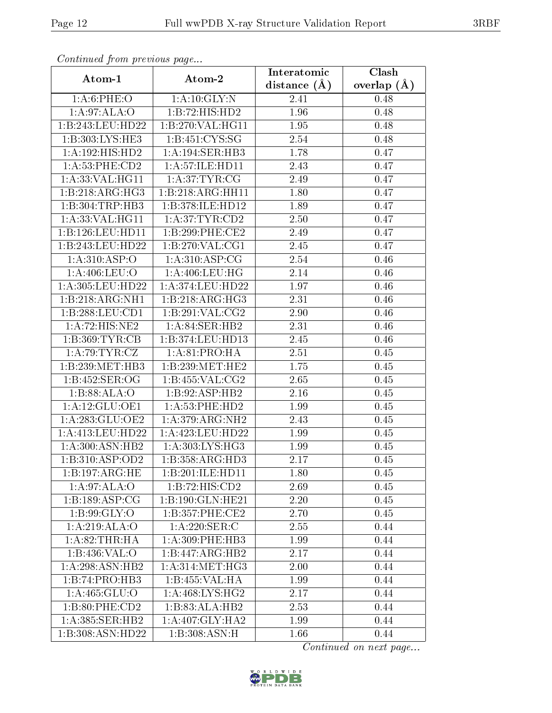| Continuea from previous page |                                      | Interatomic    | Clash           |  |
|------------------------------|--------------------------------------|----------------|-----------------|--|
| Atom-1                       | Atom-2                               | distance $(A)$ | overlap $(\AA)$ |  |
| 1: A:6: PHE:O                | 1: A: 10: GLY: N                     | 2.41           | 0.48            |  |
| 1: A:97: ALA:O               | 1:B:72:HIS:HD2                       | 1.96           | 0.48            |  |
| 1:B:243:LEU:HD22             | 1:B:270:VAL:HG11                     | 1.95           | 0.48            |  |
| 1:B:303:LYS:HE3              | 1:B:451:CYS:SG                       | 2.54           | 0.48            |  |
| 1:A:192:HIS:HD2              | 1: A: 194: SER: HB3                  | 1.78           | 0.47            |  |
| 1: A:53:PHE:CD2              | 1:A:57:ILE:HD11                      | 2.43           | 0.47            |  |
| 1: A: 33: VAL: HG11          | 1: A:37:TYR:CG                       | 2.49           | 0.47            |  |
| 1:B:218:ARG:HG3              | 1:B:218:ARG:HH11                     | 1.80           | 0.47            |  |
| 1:B:304:TRP:HB3              | 1:B:378:ILE:HD12                     | 1.89           | 0.47            |  |
| 1: A:33: VAL: HG11           | 1: A:37:TYR:CD2                      | 2.50           | 0.47            |  |
| 1:B:126:LEU:HD11             | 1:B:299:PHE:CE2                      | 2.49           | 0.47            |  |
| 1:B:243:LEU:HD22             | 1: B:270: VAL:CG1                    | 2.45           | 0.47            |  |
| 1: A:310: ASP:O              | 1: A:310: ASP:CG                     | 2.54           | 0.46            |  |
| 1: A:406: LEU:O              | 1: A:406:LEU:HG                      | 2.14           | 0.46            |  |
| 1:A:305:LEU:HD22             | 1:A:374:LEU:HD22                     | 1.97           | 0.46            |  |
| 1:B:218:ARG:NH1              | 1:B:218:ARG:HG3                      | 2.31           | 0.46            |  |
| 1:B:288:LEU:CD1              | 1:B:291:VAL:CG2                      | 2.90           | 0.46            |  |
| 1:A:72:HIS:NE2               | 1:A:84:SER:HB2                       | 2.31           | 0.46            |  |
| 1: B: 369: TYR: CB           | 1:B:374:LEU:HD13                     | 2.45           | 0.46            |  |
| 1: A:79:TYR:CZ               | 1: A:81: PRO:HA                      | 2.51           | 0.45            |  |
| 1:B:239:MET:HB3              | 1: B: 239: MET: HE2                  | 1.75           | 0.45            |  |
| 1:B:452:SER:OG               | 1: B: 455: VAL: CG2                  | 2.65           | 0.45            |  |
| 1:B:88:ALA:O                 | 1:B:92:ASP:HB2                       | 2.16           | 0.45            |  |
| 1: A:12: GLU:OE1             | 1: A:53:PHE:HD2                      | 1.99           | 0.45            |  |
| 1:A:283:GLU:OE2              | 1: A:379:ARG:NH2                     | 2.43           | 0.45            |  |
| 1:A:413:LEU:HD22             | 1:A:423:LEU:HD22                     | 1.99           | 0.45            |  |
| 1: A:300:ASN:HB2             | 1: A:303: LYS: HG3                   | 1.99           | 0.45            |  |
| 1:B:310:ASP:OD2              | 1:B:358:ARG:HD3                      | 2.17           | 0.45            |  |
| 1:B:197:ARG:HE               | 1:B:201:ILE:HD11                     | 1.80           | 0.45            |  |
| 1: A:97: ALA:O               | 1:B:72:HIS:CD2                       | 2.69           | 0.45            |  |
| 1:B:189:ASP:CG               | 1:B:190:GLN:HE21                     | 2.20           | 0.45            |  |
| 1:B:99:GLY:O                 | 1:B:357:PHE:CE2                      | 2.70           | 0.45            |  |
| 1:A:219:ALA:O                | $1: A:220:$ SER:C                    | 2.55           | 0.44            |  |
| 1: A:82:THR:HA               | 1: A:309: PHE:HB3                    | 1.99           | 0.44            |  |
| 1:B:436:VAL:O                | 1:B:447:ARG:HB2                      | 2.17           | 0.44            |  |
| 1: A:298: ASN:HB2            | 1: A:314: MET:HG3                    | 2.00           | 0.44            |  |
| 1:B:74:PRO:HB3               | 1:B:455:VAL:HA                       | 1.99           | 0.44            |  |
| 1: A: 465: GLU:O             | $1:A:468:\overline{\text{LYS:H G2}}$ | 2.17           | 0.44            |  |
| 1: B:80: PHE:CD2             | 1:B:83:ALA:HB2                       | 2.53           | 0.44            |  |
| 1: A:385: SER:HB2            | $1:A:407:GLY:H\overline{A2}$         | 1.99           | 0.44            |  |
| 1:B:308:ASN:HD22             | 1:B:308:ASN:H                        | 1.66           | 0.44            |  |

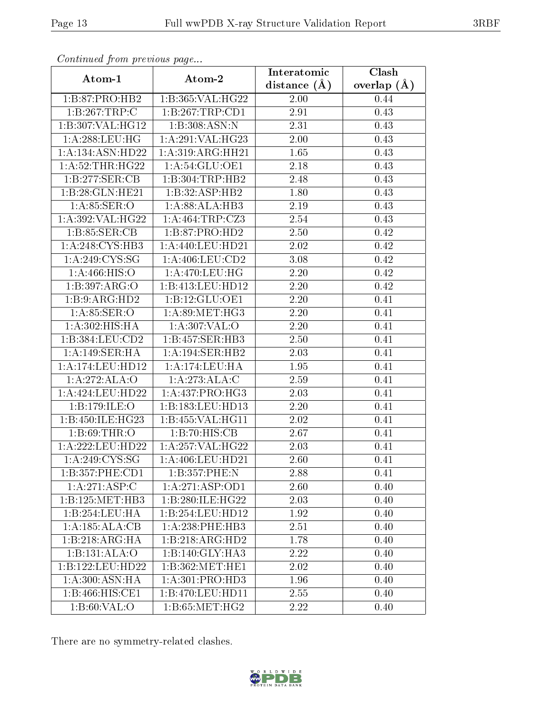| Continued from previous page |                    | Interatomic       | Clash           |  |
|------------------------------|--------------------|-------------------|-----------------|--|
| Atom-1                       | Atom-2             | distance $(A)$    | overlap $(\AA)$ |  |
| 1:B:87:PRO:HB2               | 1:B:365:VAL:HG22   | $2.00\,$          | 0.44            |  |
| 1:B:267:TRP:C                | 1:B:267:TRP:CD1    | 2.91              | 0.43            |  |
| 1:B:307:VAL:HG12             | 1:B:308:ASN:N      | 2.31              | 0.43            |  |
| 1:A:288:LEU:HG               | 1:A:291:VAL:HG23   | 2.00              | 0.43            |  |
| 1:A:134:ASN:HD22             | 1: A:319:ARG:HH21  | 1.65              | 0.43            |  |
| 1: A:52:THR:HG22             | 1: A:54: GLU:OE1   | 2.18              | 0.43            |  |
| 1:B:277:SER:CB               | 1:B:304:TRP:HB2    | 2.48              | 0.43            |  |
| 1:B:28:GLN:HE21              | 1:B:32:ASP:HB2     | 1.80              | 0.43            |  |
| 1:A:85:SER:O                 | 1:A:88:ALA:HB3     | 2.19              | 0.43            |  |
| 1:A:392:VAL:HG22             | 1: A:464:TRP: CZ3  | 2.54              | 0.43            |  |
| 1: B: 85: SER: CB            | 1:B:87:PRO:HD2     | 2.50              | 0.42            |  |
| 1:A:248:CYS:HB3              | 1: A:440:LEU:HD21  | $\overline{2}.02$ | 0.42            |  |
| 1: A:249:CYS:SG              | 1: A:406:LEU:CD2   | 3.08              | 0.42            |  |
| 1: A:466: HIS:O              | 1: A:470:LEU:HG    | 2.20              | 0.42            |  |
| 1:B:397:ARG:O                | 1:B:413:LEU:HD12   | 2.20              | 0.42            |  |
| 1:B:9:ARG:HD2                | 1:B:12:GLU:OE1     | 2.20              | 0.41            |  |
| 1: A:85: SER:O               | 1: A:89:MET:HG3    | 2.20              | 0.41            |  |
| 1: A:302: HIS: HA            | 1:A:307:VAL:O      | 2.20              | 0.41            |  |
| 1:B:384:LEU:CD2              | 1:B:457:SER:HB3    | 2.50              | 0.41            |  |
| 1:A:149:SER:HA               | 1:A:194:SER:HB2    | 2.03              | 0.41            |  |
| 1:A:174:LEU:HD12             | 1: A:174:LEU:HA    | 1.95              | 0.41            |  |
| 1:A:272:ALA:O                | 1:A:273:ALA:C      | 2.59              | 0.41            |  |
| 1: A:424:LEU:HD22            | 1:A:437:PRO:HG3    | 2.03              | 0.41            |  |
| 1:B:179:ILE:O                | 1:B:183:LEU:HD13   | 2.20              | 0.41            |  |
| 1:B:450:ILE:HG23             | 1: B:455: VAL:HGI1 | 2.02              | 0.41            |  |
| 1:B:69:THR:O                 | 1:B:70:HIS:CB      | 2.67              | 0.41            |  |
| 1:A:222:LEU:HD22             | 1:A:257:VAL:HG22   | 2.03              | 0.41            |  |
| 1: A:249:CYS:SG              | 1:A:406:LEU:HD21   | 2.60              | 0.41            |  |
| 1:B:357:PHE:CD1              | 1:B:357:PHE:N      | 2.88              | 0.41            |  |
| 1:A:271:ASP:C                | 1: A:271: ASP:OD1  | 2.60              | 0.40            |  |
| 1:B:125:MET:HB3              | 1:B:280:ILE:HG22   | 2.03              | 0.40            |  |
| 1:B:254:LEU:HA               | 1:B:254:LEU:HD12   | 1.92              | 0.40            |  |
| 1:A:185:ALA:CB               | 1:A:238:PHE:HB3    | 2.51              | 0.40            |  |
| 1:B:218:ARG:HA               | 1:B:218:ARG:HD2    | 1.78              | 0.40            |  |
| 1:B:131:ALA:O                | 1:B:140:GLY:HA3    | 2.22              | 0.40            |  |
| 1:B:122:LEU:HD22             | 1:B:362:MET:HE1    | 2.02              | 0.40            |  |
| 1: A:300:ASN:HA              | 1: A:301: PRO:HD3  | 1.96              | 0.40            |  |
| 1:B:466:HIS:CE1              | 1:B:470:LEU:HD11   | 2.55              | 0.40            |  |
| 1: B:60: VAL:O               | 1: B:65: MET:HG2   | 2.22              | 0.40            |  |

There are no symmetry-related clashes.

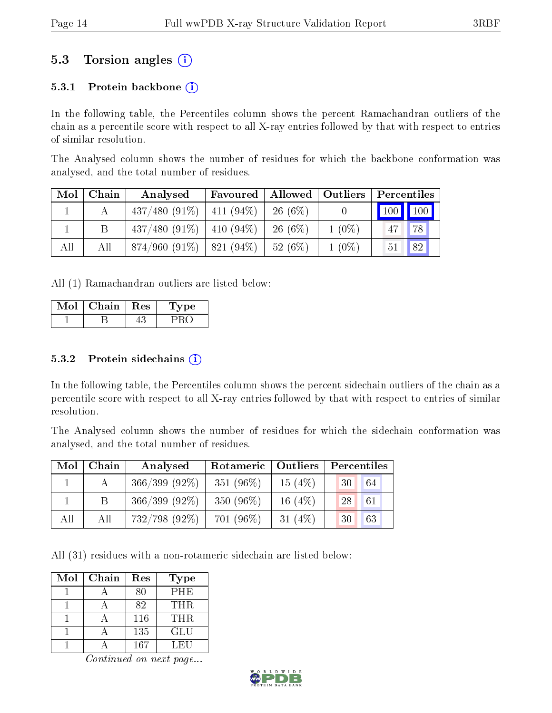### 5.3 Torsion angles (i)

#### 5.3.1 Protein backbone  $(i)$

In the following table, the Percentiles column shows the percent Ramachandran outliers of the chain as a percentile score with respect to all X-ray entries followed by that with respect to entries of similar resolution.

The Analysed column shows the number of residues for which the backbone conformation was analysed, and the total number of residues.

| Mol | Chain | Analysed        | Favoured      | Allowed    | <b>Outliers</b> |                         | Percentiles |
|-----|-------|-----------------|---------------|------------|-----------------|-------------------------|-------------|
|     |       | $437/480(91\%)$ | $ 411 (94\%)$ | $26(6\%)$  |                 | $\vert$ 100 $\vert$ 100 |             |
|     |       | $437/480(91\%)$ | 410 (94\%)    | $26(6\%)$  | $1(0\%)$        | 47                      | 78          |
| All | Аll   | $874/960(91\%)$ | $821(94\%)$   | 52 $(6\%)$ | $1(0\%)$        | 51                      | 82          |

All (1) Ramachandran outliers are listed below:

| Chain | <b>Res</b> | vpe |
|-------|------------|-----|
|       |            |     |

#### $5.3.2$  Protein sidechains  $(i)$

In the following table, the Percentiles column shows the percent sidechain outliers of the chain as a percentile score with respect to all X-ray entries followed by that with respect to entries of similar resolution.

The Analysed column shows the number of residues for which the sidechain conformation was analysed, and the total number of residues.

| Mol | Chain | Rotameric   Outliers<br>Analysed |              |           | Percentiles |
|-----|-------|----------------------------------|--------------|-----------|-------------|
|     |       | $366/399(92\%)$                  | 351 $(96\%)$ | 15(4%)    | 30<br>64    |
|     | B     | $366/399(92\%)$                  | 350 $(96\%)$ | 16 $(4%)$ | 28<br>61    |
| All | All   | $732/798$ (92%)                  | 701 (96%)    | 31 $(4%)$ | 63<br>30    |

All (31) residues with a non-rotameric sidechain are listed below:

| Mol | Chain | Res | Type       |
|-----|-------|-----|------------|
|     |       | 80  | PHE        |
|     |       | 82  | <b>THR</b> |
|     |       | 116 | THR.       |
|     |       | 135 | GLU        |
|     |       | 167 | LEU        |

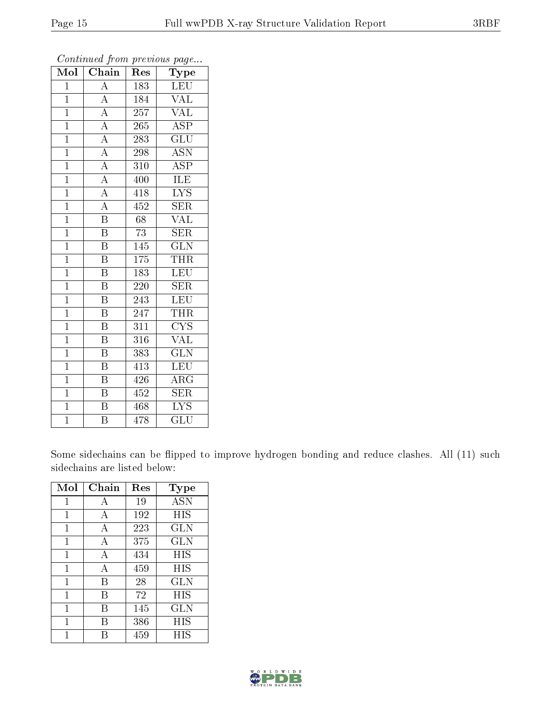| Mol            | $\overline{\text{Chain}}$           | Res             | Type                            |
|----------------|-------------------------------------|-----------------|---------------------------------|
| $\overline{1}$ | $\overline{\rm A}$                  | 183             | <b>LEU</b>                      |
| $\mathbf{1}$   | $\overline{A}$                      | 184             | VAL                             |
| $\overline{1}$ | $\overline{A}$                      | 257             | $\overline{\text{VAL}}$         |
| $\mathbf{1}$   | $\overline{A}$                      | 265             | <b>ASP</b>                      |
| $\overline{1}$ | $\overline{A}$                      | 283             | $\overline{\text{GLU}}$         |
| $\mathbf{1}$   | $\overline{A}$                      | 298             | <b>ASN</b>                      |
| $\mathbf{1}$   | $\overline{A}$                      | 310             | ASP                             |
| $\overline{1}$ |                                     | 400             | ILE                             |
| $\mathbf{1}$   | $\frac{\overline{A}}{\overline{A}}$ | 418             | $\overline{\text{LYS}}$         |
| $\mathbf{1}$   | $\overline{A}$                      | 452             | <b>SER</b>                      |
| $\mathbf{1}$   | $\overline{\mathrm{B}}$             | 68              | <b>VAL</b>                      |
| $\overline{1}$ | $\overline{\mathrm{B}}$             | $\overline{73}$ | $\overline{\text{SER}}$         |
| $\overline{1}$ | $\, {\bf B}$                        | 145             | $\overline{\text{GLN}}$         |
| $\mathbf{1}$   | $\overline{\mathrm{B}}$             | 175             | <b>THR</b>                      |
| $\overline{1}$ | $\overline{\mathrm{B}}$             | 183             | LEU                             |
| $\mathbf{1}$   | $\overline{\mathrm{B}}$             | 220             | <b>SER</b>                      |
| $\overline{1}$ | $\overline{\mathrm{B}}$             | 243             | LEU                             |
| $\mathbf{1}$   | $\, {\bf B}$                        | 247             | THR                             |
| $\overline{1}$ | $\overline{\mathrm{B}}$             | 311             | <b>CYS</b>                      |
| $\mathbf{1}$   | $\overline{\mathrm{B}}$             | 316             | VAL                             |
| $\overline{1}$ | $\overline{\mathrm{B}}$             | 383             | $\overline{\text{GLN}}$         |
| $\mathbf{1}$   | $\overline{\mathrm{B}}$             | 413             | LEU                             |
| $\overline{1}$ | $\, {\bf B}$                        | 426             | $\rm{ARG}$                      |
| $\mathbf{1}$   | $\overline{\mathrm{B}}$             | 452             | $\overline{\text{SER}}$         |
| $\overline{1}$ | $\bar{\text{B}}$                    | 468             | $\overline{\text{L} \text{YS}}$ |
| $\overline{1}$ | $\overline{\mathrm{B}}$             | 478             | $\overline{{\rm GLU}}$          |

Some sidechains can be flipped to improve hydrogen bonding and reduce clashes. All (11) such sidechains are listed below:

| Mol          | Chain | Res | Type       |
|--------------|-------|-----|------------|
| 1            | А     | 19  | <b>ASN</b> |
| 1            | А     | 192 | HIS        |
| 1            | А     | 223 | <b>GLN</b> |
| 1            | А     | 375 | <b>GLN</b> |
| 1            | А     | 434 | HIS        |
| $\mathbf{1}$ | А     | 459 | HIS        |
| 1            | В     | 28  | <b>GLN</b> |
| 1            | В     | 72  | HIS        |
| 1            | В     | 145 | GLN        |
| 1            | R     | 386 | HIS        |
|              |       | 459 | НIS        |

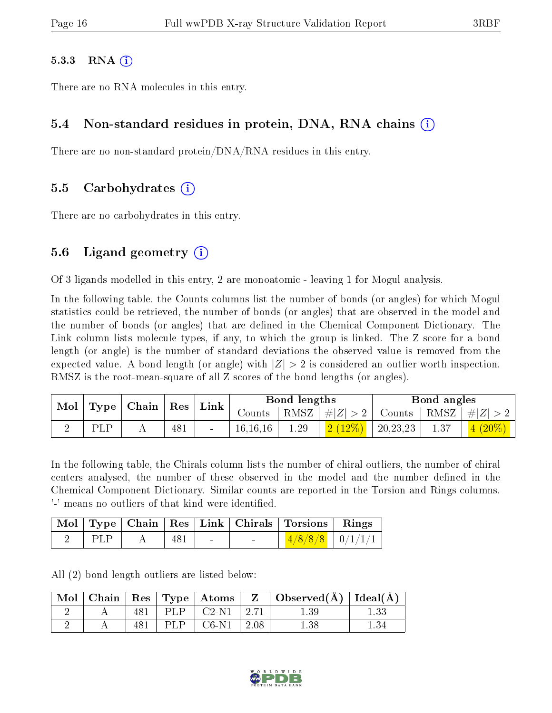#### $5.3.3$  RNA  $(i)$

There are no RNA molecules in this entry.

#### 5.4 Non-standard residues in protein, DNA, RNA chains (i)

There are no non-standard protein/DNA/RNA residues in this entry.

#### 5.5 Carbohydrates (i)

There are no carbohydrates in this entry.

#### 5.6 Ligand geometry  $(i)$

Of 3 ligands modelled in this entry, 2 are monoatomic - leaving 1 for Mogul analysis.

In the following table, the Counts columns list the number of bonds (or angles) for which Mogul statistics could be retrieved, the number of bonds (or angles) that are observed in the model and the number of bonds (or angles) that are defined in the Chemical Component Dictionary. The Link column lists molecule types, if any, to which the group is linked. The Z score for a bond length (or angle) is the number of standard deviations the observed value is removed from the expected value. A bond length (or angle) with  $|Z| > 2$  is considered an outlier worth inspection. RMSZ is the root-mean-square of all Z scores of the bond lengths (or angles).

| Mol<br>Type |    | $\vert$ Chain $\vert$ Res $\vert$ |     | Link ' |            | Bond lengths       |           |          | Bond angles                     |                              |
|-------------|----|-----------------------------------|-----|--------|------------|--------------------|-----------|----------|---------------------------------|------------------------------|
|             |    |                                   |     | Counts |            | RMSZ   $\# Z  > 2$ |           |          | Counts   RMSZ $\mid \#  Z  > 2$ |                              |
|             | DТ |                                   | 481 |        | 16, 16, 16 | 1.29               | $2(12\%)$ | 20,23,23 |                                 | $\left 4\right\rangle(20\%)$ |

In the following table, the Chirals column lists the number of chiral outliers, the number of chiral centers analysed, the number of these observed in the model and the number defined in the Chemical Component Dictionary. Similar counts are reported in the Torsion and Rings columns. '-' means no outliers of that kind were identified.

|     |     |  | Mol   Type   Chain   Res   Link   Chirals   Torsions   Rings |  |
|-----|-----|--|--------------------------------------------------------------|--|
| PLP | 481 |  | $1/8/8/8$ $0/1/1/1$                                          |  |

All (2) bond length outliers are listed below:

| Mol | Chain |  | $\vert$ Res $\vert$ Type $\vert$ Atoms |      | $\perp$ Observed(Å) $\parallel$ Ideal(Å) |  |
|-----|-------|--|----------------------------------------|------|------------------------------------------|--|
|     |       |  | $C2-N1$                                | 2.71 | 1.39                                     |  |
|     |       |  | C6-N1                                  | 2.08 | 1.38                                     |  |

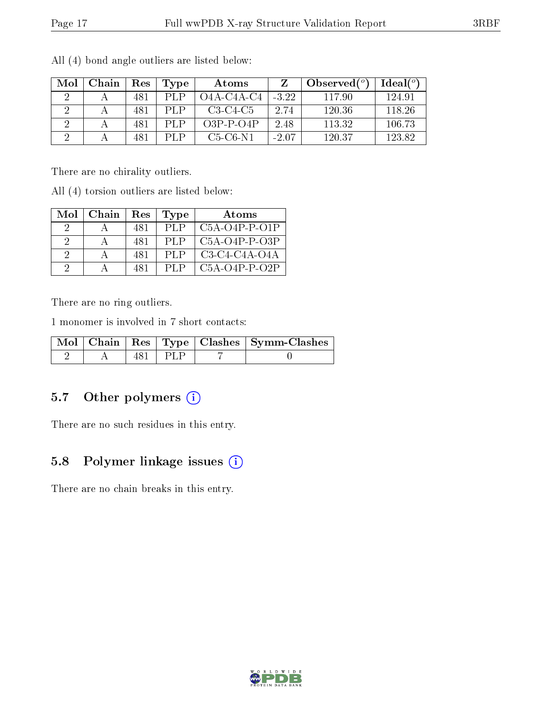| Mol | Chain | Res | Type | Atoms        |         | Observed $(^\circ)$ | Ideal $(°)$ |
|-----|-------|-----|------|--------------|---------|---------------------|-------------|
|     |       | 481 | PI P | $O4A-C4A-C4$ | $-3.22$ | 117.90              | 124.91      |
|     |       | 481 | PI P | $C3-C4-C5$   | 2.74    | 120.36              | 118.26      |
|     |       | 481 | PI P | $O3P-P-O4P$  | 2.48    | 113.32              | 106.73      |
|     |       | 481 | PLP. | $C5-C6-N1$   | $-2.07$ | 120.37              | 123.82      |

All (4) bond angle outliers are listed below:

There are no chirality outliers.

All (4) torsion outliers are listed below:

| Mol | Chain | Res | Type | Atoms           |
|-----|-------|-----|------|-----------------|
|     |       | 481 | PLP  | $C5A-O4P-P-O1P$ |
| 9   |       | 481 | PLP  | $C5A-O4P-P-O3P$ |
| -9  |       | 481 | PLP  | $C3-C4-C4A-O4A$ |
|     |       | 481 | PL P | $C5A-O4P-P-O2P$ |

There are no ring outliers.

1 monomer is involved in 7 short contacts:

|  |  | Mol   Chain   Res   Type   Clashes   Symm-Clashes |
|--|--|---------------------------------------------------|
|  |  |                                                   |

### 5.7 [O](https://www.wwpdb.org/validation/2017/XrayValidationReportHelp#nonstandard_residues_and_ligands)ther polymers (i)

There are no such residues in this entry.

### 5.8 Polymer linkage issues (i)

There are no chain breaks in this entry.

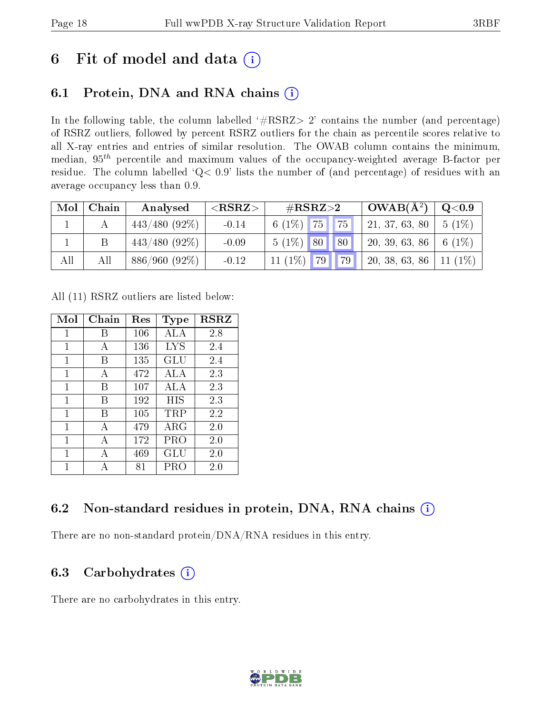## 6 Fit of model and data  $(i)$

## 6.1 Protein, DNA and RNA chains  $(i)$

In the following table, the column labelled  $#RSRZ> 2'$  contains the number (and percentage) of RSRZ outliers, followed by percent RSRZ outliers for the chain as percentile scores relative to all X-ray entries and entries of similar resolution. The OWAB column contains the minimum, median,  $95<sup>th</sup>$  percentile and maximum values of the occupancy-weighted average B-factor per residue. The column labelled ' $Q< 0.9$ ' lists the number of (and percentage) of residues with an average occupancy less than 0.9.

| Mol | Chain | Analysed        | ${ <\hspace{-1.5pt}{\mathrm{RSRZ}} \hspace{-1.5pt}>}$ | $\rm \#RSRZ{>}2$                 |  | $\mid$ OWAB( $\rm \AA^2$ )              | $\rm{Q}\textcolor{black}{<}0.9$ |
|-----|-------|-----------------|-------------------------------------------------------|----------------------------------|--|-----------------------------------------|---------------------------------|
|     |       | $443/480(92\%)$ | $-0.14$                                               | 6 (1%) $\boxed{75}$ $\boxed{75}$ |  | 21, 37, 63, 80   5 (1%)                 |                                 |
|     |       | $443/480(92\%)$ | $-0.09$                                               | $5(1\%)$ 80 80                   |  | 20, 39, 63, 86   6 (1%)                 |                                 |
| All | All   | $886/960(92\%)$ | $-0.12$                                               |                                  |  | 11 (1%) 79 79 79 20, 38, 63, 86 11 (1%) |                                 |

All (11) RSRZ outliers are listed below:

| Mol | Chain | $\operatorname{Res}% \left( \mathcal{N}\right) \equiv\operatorname{Res}(\mathcal{N}_{0})\cap\mathcal{N}_{1}$ | Type        | <b>RSRZ</b> |
|-----|-------|--------------------------------------------------------------------------------------------------------------|-------------|-------------|
| 1   | В     | 106                                                                                                          | ALA         | 2.8         |
| 1   | А     | 136                                                                                                          | LYS         | 2.4         |
| 1   | В     | 135                                                                                                          | GLU         | 2.4         |
| 1   | А     | 472                                                                                                          | ALA         | 2.3         |
| 1   | В     | 107                                                                                                          | ALA         | 2.3         |
| 1   | В     | 192                                                                                                          | HIS         | 2.3         |
| 1   | В     | 105                                                                                                          | TRP         | 2.2         |
| 1   | A     | 479                                                                                                          | ${\rm ARG}$ | 2.0         |
| 1   | А     | 172                                                                                                          | PRO         | 2.0         |
| 1   | А     | 469                                                                                                          | GLU         | 2.0         |
| 1   |       | 81                                                                                                           | PRO         | $2.0\,$     |

### 6.2 Non-standard residues in protein, DNA, RNA chains (i)

There are no non-standard protein/DNA/RNA residues in this entry.

### 6.3 Carbohydrates  $(i)$

There are no carbohydrates in this entry.